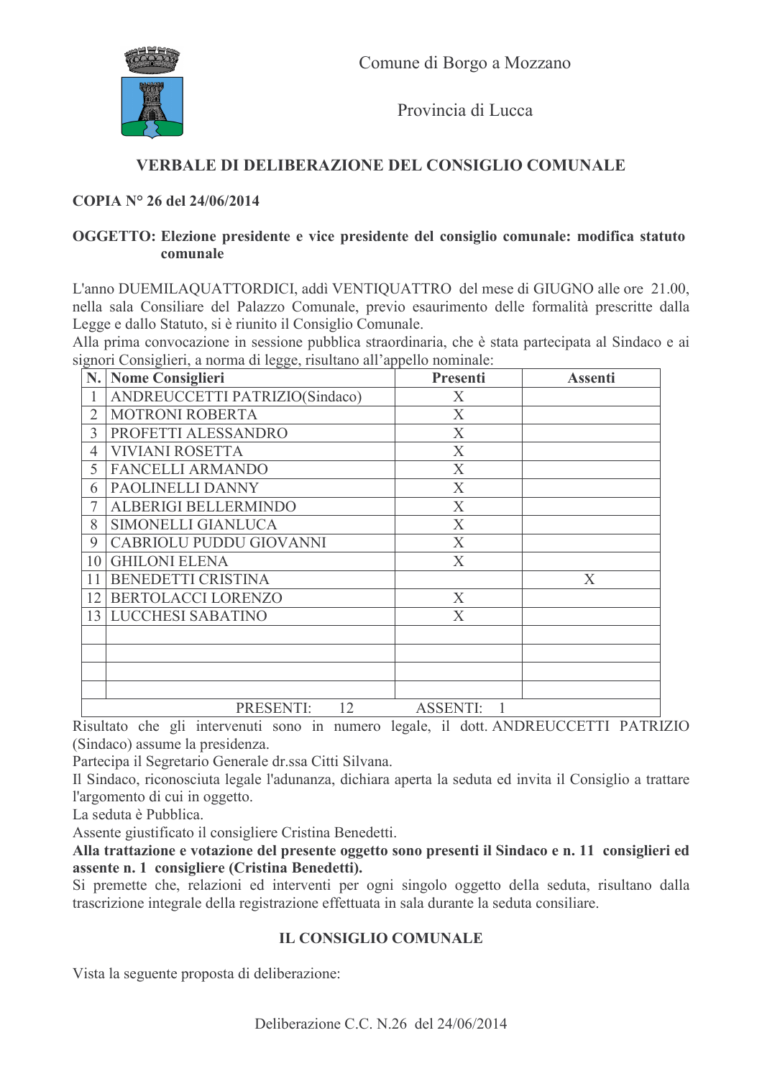

Provincia di Lucca

## VERBALE DI DELIBERAZIONE DEL CONSIGLIO COMUNALE

#### COPIA Nº 26 del 24/06/2014

#### OGGETTO: Elezione presidente e vice presidente del consiglio comunale: modifica statuto comunale

L'anno DUEMILAQUATTORDICI, addi VENTIQUATTRO del mese di GIUGNO alle ore 21.00, nella sala Consiliare del Palazzo Comunale, previo esaurimento delle formalità prescritte dalla Legge e dallo Statuto, si è riunito il Consiglio Comunale.

Alla prima convocazione in sessione pubblica straordinaria, che è stata partecipata al Sindaco e ai signori Consiglieri a norma di legge risultano all'appello nominale

| N.              | <b>Nome Consiglieri</b>        | Presenti                  | <b>Assenti</b> |
|-----------------|--------------------------------|---------------------------|----------------|
|                 | ANDREUCCETTI PATRIZIO(Sindaco) | X                         |                |
| $\overline{2}$  | <b>MOTRONI ROBERTA</b>         | X                         |                |
| 3               | PROFETTI ALESSANDRO            | $\mathbf X$               |                |
| 4               | <b>VIVIANI ROSETTA</b>         | X                         |                |
| 5               | <b>FANCELLI ARMANDO</b>        | $\boldsymbol{X}$          |                |
| 6               | PAOLINELLI DANNY               | $\boldsymbol{X}$          |                |
|                 | ALBERIGI BELLERMINDO           | X                         |                |
| 8               | SIMONELLI GIANLUCA             | X                         |                |
| 9               | CABRIOLU PUDDU GIOVANNI        | X                         |                |
| 10              | <b>GHILONI ELENA</b>           | X                         |                |
| 11              | BENEDETTI CRISTINA             |                           | X              |
| 12              | BERTOLACCI LORENZO             | X                         |                |
| 13 <sup>1</sup> | <b>LUCCHESI SABATINO</b>       | $\boldsymbol{\mathrm{X}}$ |                |
|                 |                                |                           |                |
|                 |                                |                           |                |
|                 |                                |                           |                |
|                 |                                |                           |                |
|                 | PRESENTI:<br>12                | <b>ASSENTI:</b>           |                |

Risultato che gli intervenuti sono in numero legale, il dott. ANDREUCCETTI PATRIZIO (Sindaco) assume la presidenza.

Partecipa il Segretario Generale dr.ssa Citti Silvana.

Il Sindaco, riconosciuta legale l'adunanza, dichiara aperta la seduta ed invita il Consiglio a trattare l'argomento di cui in oggetto.

La seduta è Pubblica.

Assente giustificato il consigliere Cristina Benedetti.

Alla trattazione e votazione del presente oggetto sono presenti il Sindaco e n. 11 consiglieri ed assente n. 1 consigliere (Cristina Benedetti).

Si premette che, relazioni ed interventi per ogni singolo oggetto della seduta, risultano dalla trascrizione integrale della registrazione effettuata in sala durante la seduta consiliare.

### **IL CONSIGLIO COMUNALE**

Vista la seguente proposta di deliberazione: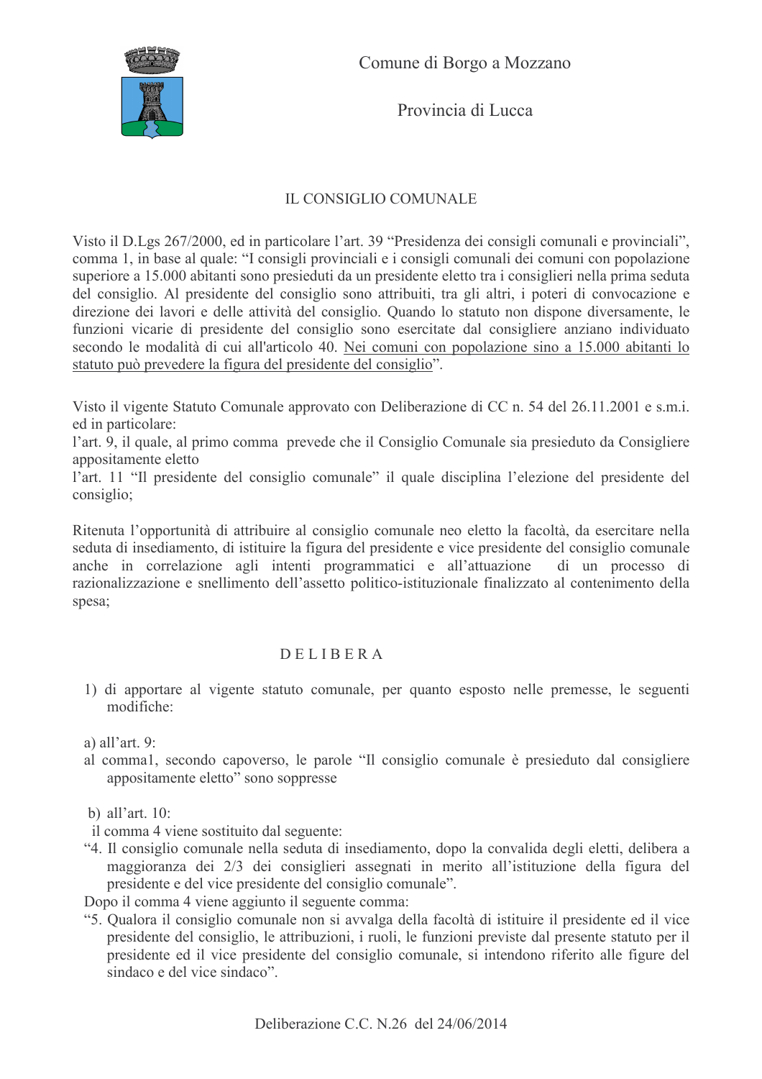

Provincia di Lucca

# IL CONSIGLIO COMUNALE

Visto il D.Lgs 267/2000, ed in particolare l'art. 39 "Presidenza dei consigli comunali e provinciali", comma 1, in base al quale: "I consigli provinciali e i consigli comunali dei comuni con popolazione superiore a 15.000 abitanti sono presieduti da un presidente eletto tra i consiglieri nella prima seduta del consiglio. Al presidente del consiglio sono attribuiti, tra gli altri, i poteri di convocazione e direzione dei lavori e delle attività del consiglio. Quando lo statuto non dispone diversamente, le funzioni vicarie di presidente del consiglio sono esercitate dal consigliere anziano individuato secondo le modalità di cui all'articolo 40. Nei comuni con popolazione sino a 15.000 abitanti lo statuto può prevedere la figura del presidente del consiglio".

Visto il vigente Statuto Comunale approvato con Deliberazione di CC n. 54 del 26.11.2001 e s.m.i. ed in particolare:

l'art. 9, il quale, al primo comma prevede che il Consiglio Comunale sia presieduto da Consigliere appositamente eletto

l'art. 11 "Il presidente del consiglio comunale" il quale disciplina l'elezione del presidente del consiglio;

Ritenuta l'opportunità di attribuire al consiglio comunale neo eletto la facoltà, da esercitare nella seduta di insediamento, di istituire la figura del presidente e vice presidente del consiglio comunale anche in correlazione agli intenti programmatici e all'attuazione di un processo di razionalizzazione e snellimento dell'assetto politico-istituzionale finalizzato al contenimento della spesa;

### **DELIBERA**

1) di apportare al vigente statuto comunale, per quanto esposto nelle premesse, le seguenti modifiche:

a) all'art.  $9$ :

- al comma1, secondo capoverso, le parole "Il consiglio comunale è presieduto dal consigliere appositamente eletto" sono soppresse
- b) all'art.  $10$ :

il comma 4 viene sostituito dal seguente:

"4. Il consiglio comunale nella seduta di insediamento, dopo la convalida degli eletti, delibera a maggioranza dei 2/3 dei consiglieri assegnati in merito all'istituzione della figura del presidente e del vice presidente del consiglio comunale".

Dopo il comma 4 viene aggiunto il seguente comma:

"5. Qualora il consiglio comunale non si avvalga della facoltà di istituire il presidente ed il vice presidente del consiglio, le attribuzioni, i ruoli, le funzioni previste dal presente statuto per il presidente ed il vice presidente del consiglio comunale, si intendono riferito alle figure del sindaco e del vice sindaco"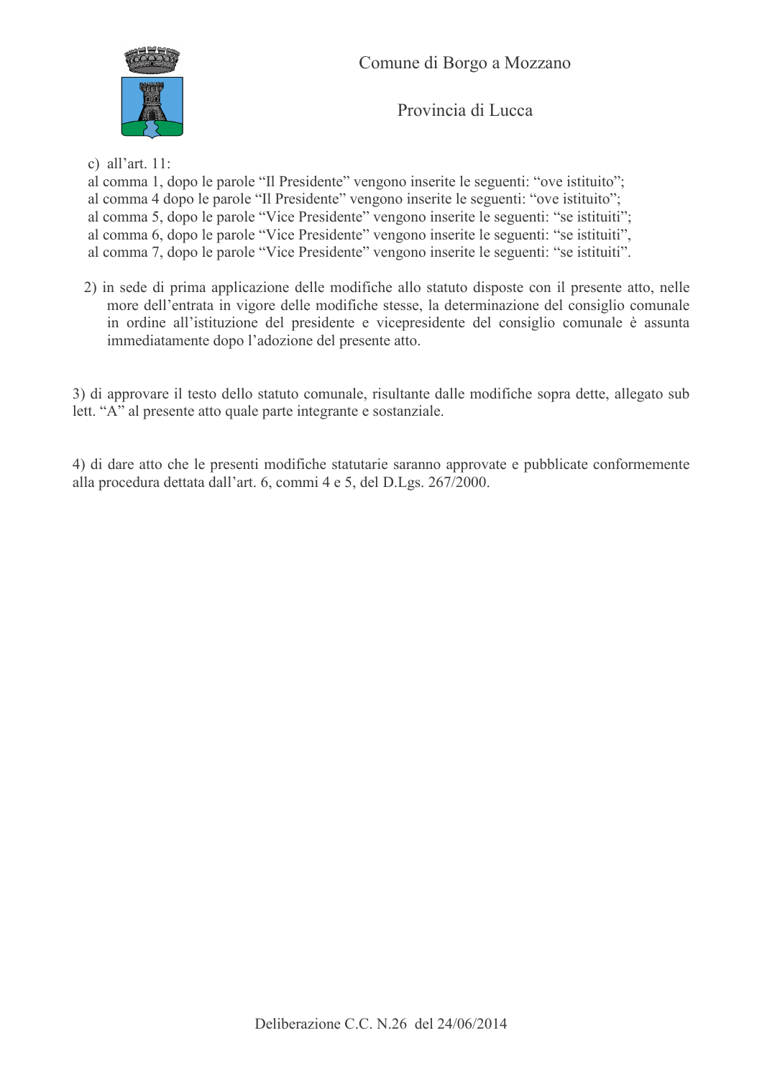

Provincia di Lucca

c) all'art.  $11$ :

al comma 1, dopo le parole "Il Presidente" vengono inserite le seguenti: "ove istituito";

al comma 4 dopo le parole "Il Presidente" vengono inserite le seguenti: "ove istituito"; al comma 5, dopo le parole "Vice Presidente" vengono inserite le seguenti: "se istituiti"; al comma 6, dopo le parole "Vice Presidente" vengono inserite le seguenti: "se istituiti",

al comma 7, dopo le parole "Vice Presidente" vengono inserite le seguenti: "se istituiti".

2) in sede di prima applicazione delle modifiche allo statuto disposte con il presente atto, nelle more dell'entrata in vigore delle modifiche stesse, la determinazione del consiglio comunale in ordine all'istituzione del presidente e vicepresidente del consiglio comunale è assunta immediatamente dopo l'adozione del presente atto.

3) di approvare il testo dello statuto comunale, risultante dalle modifiche sopra dette, allegato sub lett. "A" al presente atto quale parte integrante e sostanziale.

4) di dare atto che le presenti modifiche statutarie saranno approvate e pubblicate conformemente alla procedura dettata dall'art. 6, commi 4 e 5, del D.Lgs. 267/2000.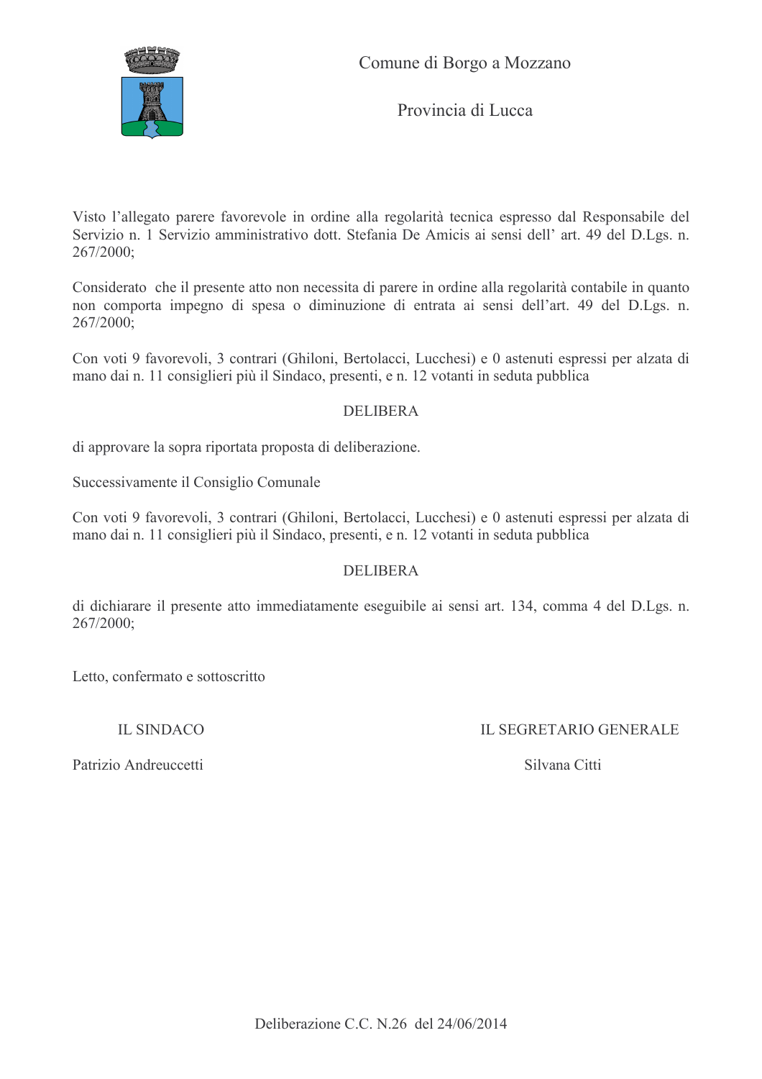

Comune di Borgo a Mozzano

Provincia di Lucca

Visto l'allegato parere favorevole in ordine alla regolarità tecnica espresso dal Responsabile del Servizio n. 1 Servizio amministrativo dott. Stefania De Amicis ai sensi dell' art. 49 del D.Lgs. n.  $267/2000$ :

Considerato che il presente atto non necessita di parere in ordine alla regolarità contabile in quanto non comporta impegno di spesa o diminuzione di entrata ai sensi dell'art. 49 del D.Lgs. n.  $267/2000$ ;

Con voti 9 favorevoli, 3 contrari (Ghiloni, Bertolacci, Lucchesi) e 0 astenuti espressi per alzata di mano dai n. 11 consiglieri più il Sindaco, presenti, e n. 12 votanti in seduta pubblica

#### **DELIBERA**

di approvare la sopra riportata proposta di deliberazione.

Successivamente il Consiglio Comunale

Con voti 9 favorevoli, 3 contrari (Ghiloni, Bertolacci, Lucchesi) e 0 astenuti espressi per alzata di mano dai n. 11 consiglieri più il Sindaco, presenti, e n. 12 votanti in seduta pubblica

### **DELIBERA**

di dichiarare il presente atto immediatamente eseguibile ai sensi art. 134, comma 4 del D.Lgs. n. 267/2000:

Letto, confermato e sottoscritto

**IL SINDACO** 

**IL SEGRETARIO GENERALE** 

Patrizio Andreuccetti

Silvana Citti